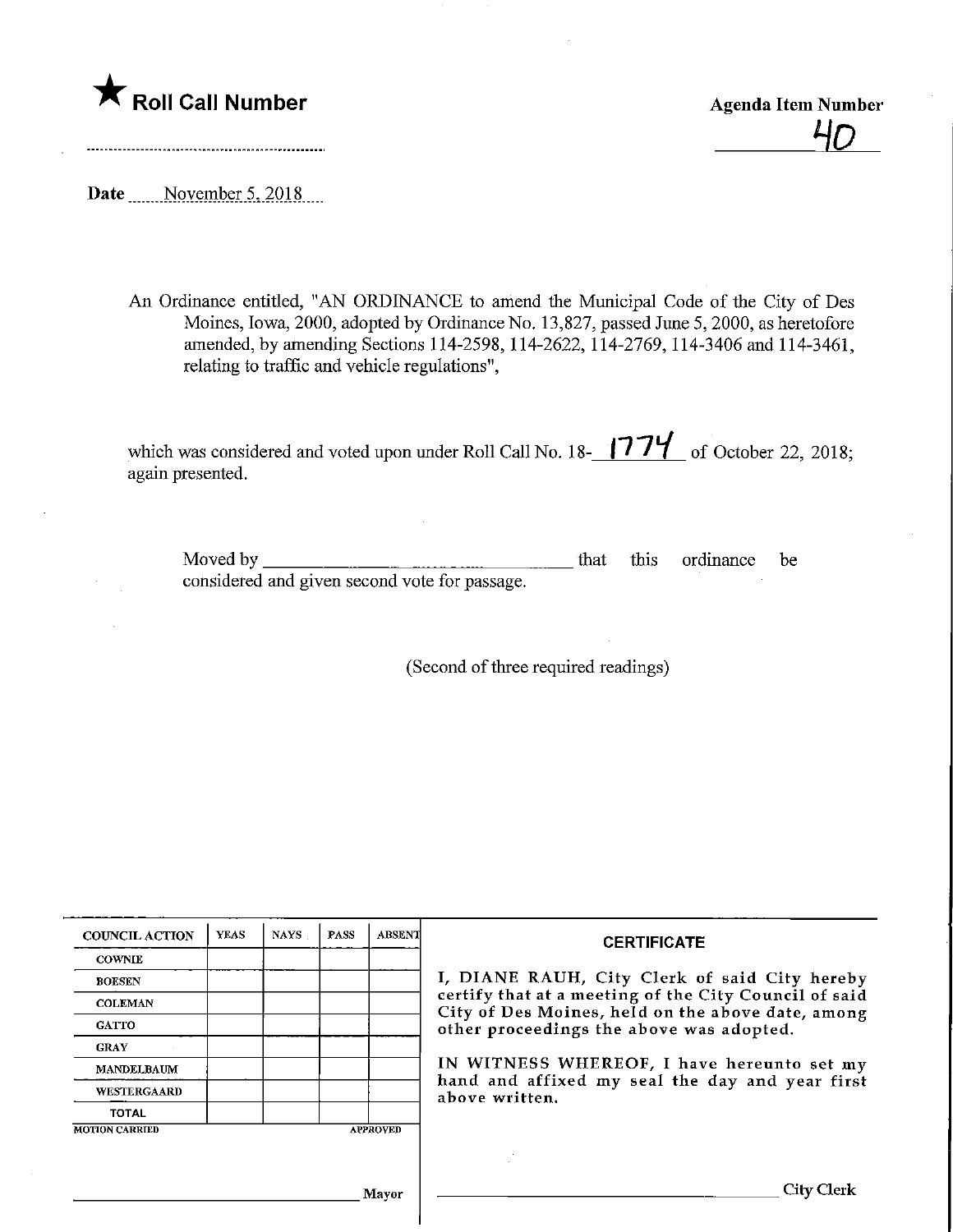

<u>40</u>

Date ........November 5, 2018....

An Ordinance entitled, "AN ORDINANCE to amend the Municipal Code of the City of Des Moines, Iowa, 2000, adopted by Ordinance No. 13,827, passed June 5, 2000, as heretofore amended, by amending Sections 114-2598,114-2622,114-2769,114-3406 and 114-3461, relating to traffic and vehicle regulations",

which was considered and voted upon under Roll Call No. 18- $\frac{1774}{ }$  of October 22, 2018; again presented.

Moved by considered and given second vote for passage. that this ordinance be

(Second of three required readings)

| <b>COUNCIL ACTION</b> | <b>YEAS</b> | <b>NAYS</b> | <b>PASS</b> | ABSENT          | <b>CERTIFICATE</b>                                                                                                                                     |  |  |  |
|-----------------------|-------------|-------------|-------------|-----------------|--------------------------------------------------------------------------------------------------------------------------------------------------------|--|--|--|
| <b>COWNIE</b>         |             |             |             |                 |                                                                                                                                                        |  |  |  |
| <b>BOESEN</b>         |             |             |             |                 | I, DIANE RAUH, City Clerk of said City hereby                                                                                                          |  |  |  |
| <b>COLEMAN</b>        |             |             |             |                 | certify that at a meeting of the City Council of said<br>City of Des Moines, held on the above date, among<br>other proceedings the above was adopted. |  |  |  |
| <b>GATTO</b>          |             |             |             |                 |                                                                                                                                                        |  |  |  |
| <b>GRAY</b>           |             |             |             |                 |                                                                                                                                                        |  |  |  |
| <b>MANDELBAUM</b>     |             |             |             |                 | IN WITNESS WHEREOF, I have hereunto set my<br>hand and affixed my seal the day and year first<br>above written.                                        |  |  |  |
| <b>WESTERGAARD</b>    |             |             |             |                 |                                                                                                                                                        |  |  |  |
| <b>TOTAL</b>          |             |             |             |                 |                                                                                                                                                        |  |  |  |
| <b>MOTION CARRIED</b> |             |             |             | <b>APPROVED</b> |                                                                                                                                                        |  |  |  |
|                       |             |             |             |                 |                                                                                                                                                        |  |  |  |
|                       |             |             |             | Mavor           | City Clerk                                                                                                                                             |  |  |  |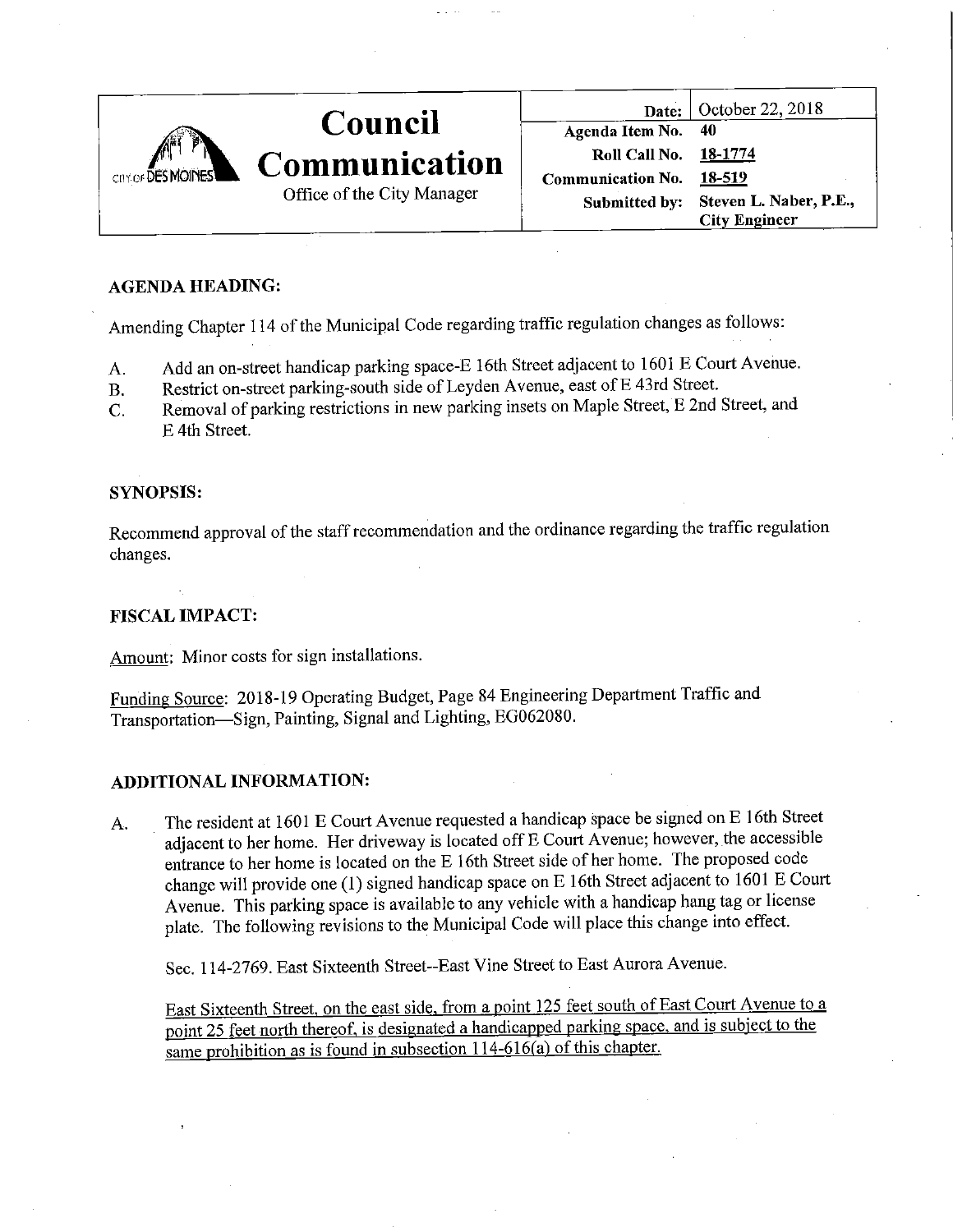| COY OF DES MOINES |                            |                          | Date: $\vert$ October 22, 2018       |
|-------------------|----------------------------|--------------------------|--------------------------------------|
|                   | Council                    | Agenda Item No. 40       |                                      |
|                   | <b>Communication</b>       | <b>Roll Call No.</b>     | 18-1774                              |
|                   |                            | <b>Communication No.</b> | 18-519                               |
|                   | Office of the City Manager |                          | Submitted by: Steven L. Naber, P.E., |
|                   |                            |                          | <b>City Engineer</b>                 |

### AGENDA HEADING:

Amending Chapter 114 of the Municipal Code regarding traffic regulation changes as follows:

- A. Add an on-street handicap parking space-E 16th Street adjacent to 1601 E Court Avenue.
- B. Restrict on-street parking-south side of Leyden Avenue, east of E 43rd Street.
- C. Removal of parking restrictions in new parking insets on Maple Street, E 2nd Street, and E 4th Street.

### SYNOPSIS:

Recommend approval of the staff recommendation and the ordinance regarding the traffic regulation changes.

### FISCAL IMPACT:

Amount: Minor costs for sign installations.

Funding Source: 2018-19 Operating Budget, Page 84 Engineering Department Traffic and Transportation—Sign, Painting, Signal and Lighting, EG062080.

### ADDITIONAL INFORMATION:

A. The resident at 1601 E Court Avenue requested a handicap space be signed on E 16th Street adjacent to her home. Her driveway is located off E Court Avenue; however, the accessible entrance to her home is located on the E 16th Street side of her home. The proposed code change will provide one (1) signed handicap space on E 16th Street adjacent to 1601 E Court Avenue. This parking space is available to any vehicle with a handicap hang tag or license plate. The following revisions to the Municipal Code will place this change into effect.

Sec. 114-2769. East Sixteenth Street-East Vine Street to East Aurora Avenue.

East Sixteenth Street, on the east side, from a point 125 feet south of East Court Avenue to a point 25 feet north thereof, is designated a handicapped parking space, and is subject to the same prohibition as is found in subsection  $114-616(a)$  of this chapter.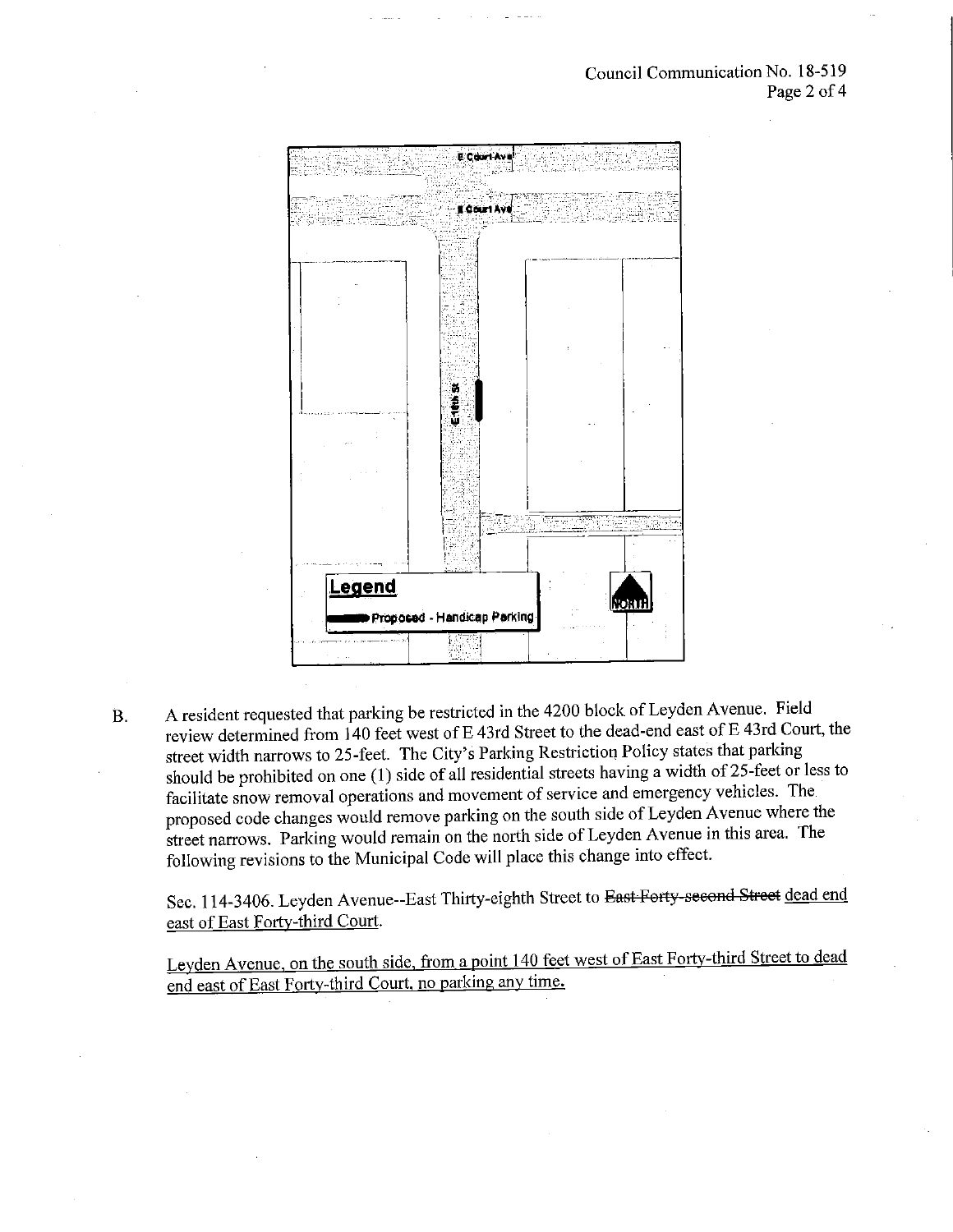#### Council Communication No. 18-519 Page 2 of 4



B. A resident requested that parking be restricted in the 4200 block of Leyden Avenue. Field review determined from 140 feet west of E 43rd Street to the dead-end east of E 43rd Court, the street width narrows to 25-feet. The City's Parking Restriction Policy states that parking should be prohibited on one (1) side of all residential streets having a width of 25-feet or less to facilitate snow removal operations and movement of service and emergency vehicles. The proposed code changes would remove parking on the south side of Leyden Avenue where the street narrows. Parking would remain on the north side of Leyden Avenue in this area. The following revisions to the Municipal Code will place this change into effect.

Sec. 114-3406. Leyden Avenue--East Thirty-eighth Street to East Forty-second Street dead end east of East Forty-third Court.

Levden Avenue, on the south side, from a point 140 feet west of East Forty-third Street to dead end east of East Forty-third Court, no parking any time.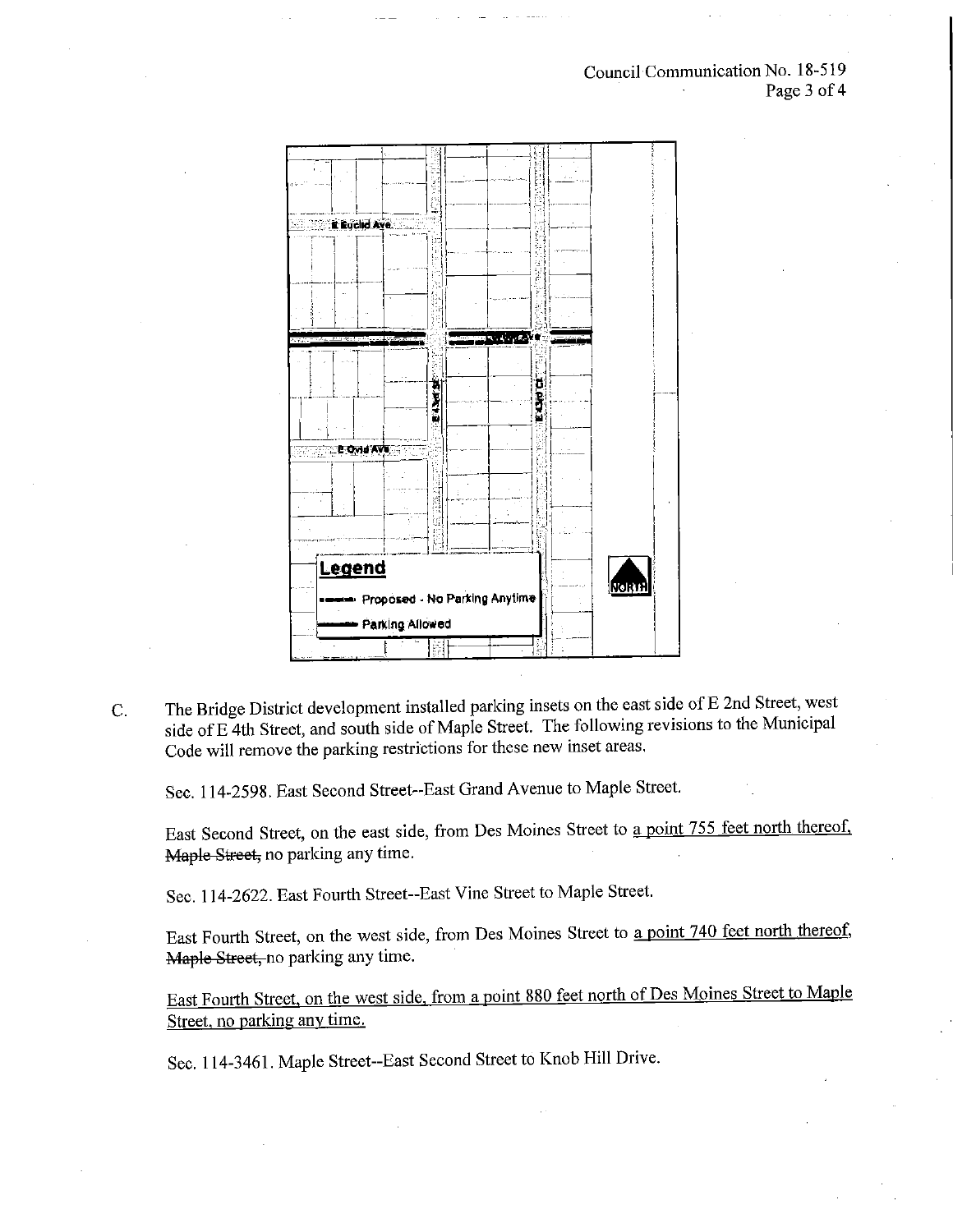

C. The Bridge District development installed parking insets on the east side of E 2nd Street, west side of E 4th Street, and south side of Maple Street. The following revisions to the Municipal Code will remove the parking restrictions for these new inset areas,

Sec. 114-2598. East Second Street-East Grand Avenue to Maple Street.

East Second Street, on the east side, from Des Moines Street to a point 755 feet north thereof, Maple Street, no parking any time.

Sec. 114-2622. East Fourth Street-East Vine Street to Maple Street.

East Fourth Street, on the west side, from Des Moines Street to a point 740 feet north thereof, Maple Street, no parking any time.

East Fourth Street, on the west side, from a point 880 feet north of Des Moines Street to Maple Street, no parking any time.

Sec. 114-3461. Maple Street-East Second Street to Knob Hill Drive.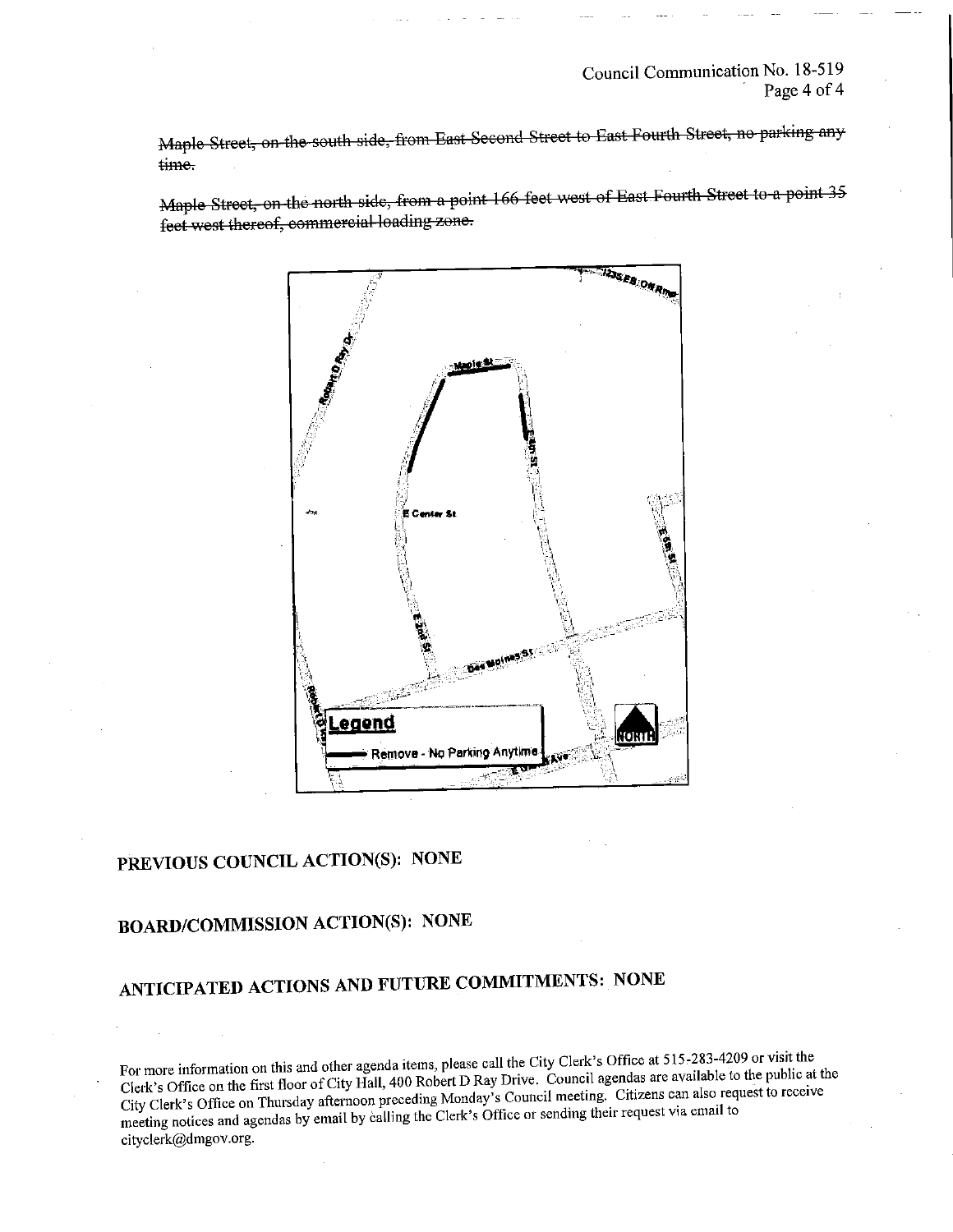Page 4 of 4

Maple Street, on the south side, from East Second Street to East Fourth Street, no parking any<br>time.

Maple Street, on the north side, from a point 166 feet west of East Fourth Street to a point 35 feot west thereof, commercial loading zone.



# PREVIOUS COUNCIL ACTION(S): NONE

# BOARD/COMMISSIONACTION(S): NONE

# ANTICIPATED ACTIONS AND FUTURE COMMITMENTS: NONE

For more information on this and other agenda items, please call the City Clerk's Office at 515-283-4209 or visit the Clerk's Office on the first floor of City Hall, 400 Robert D Ray Drive. Council agendas are available to the public at the City Clerk's Office on Thursday afternoon preceding Monday's Council meeting. Citizens can also request to receive meeting notices and agendas by email by calling the Clerk's Office or sending their request via email to cityclerk@dmgov.org.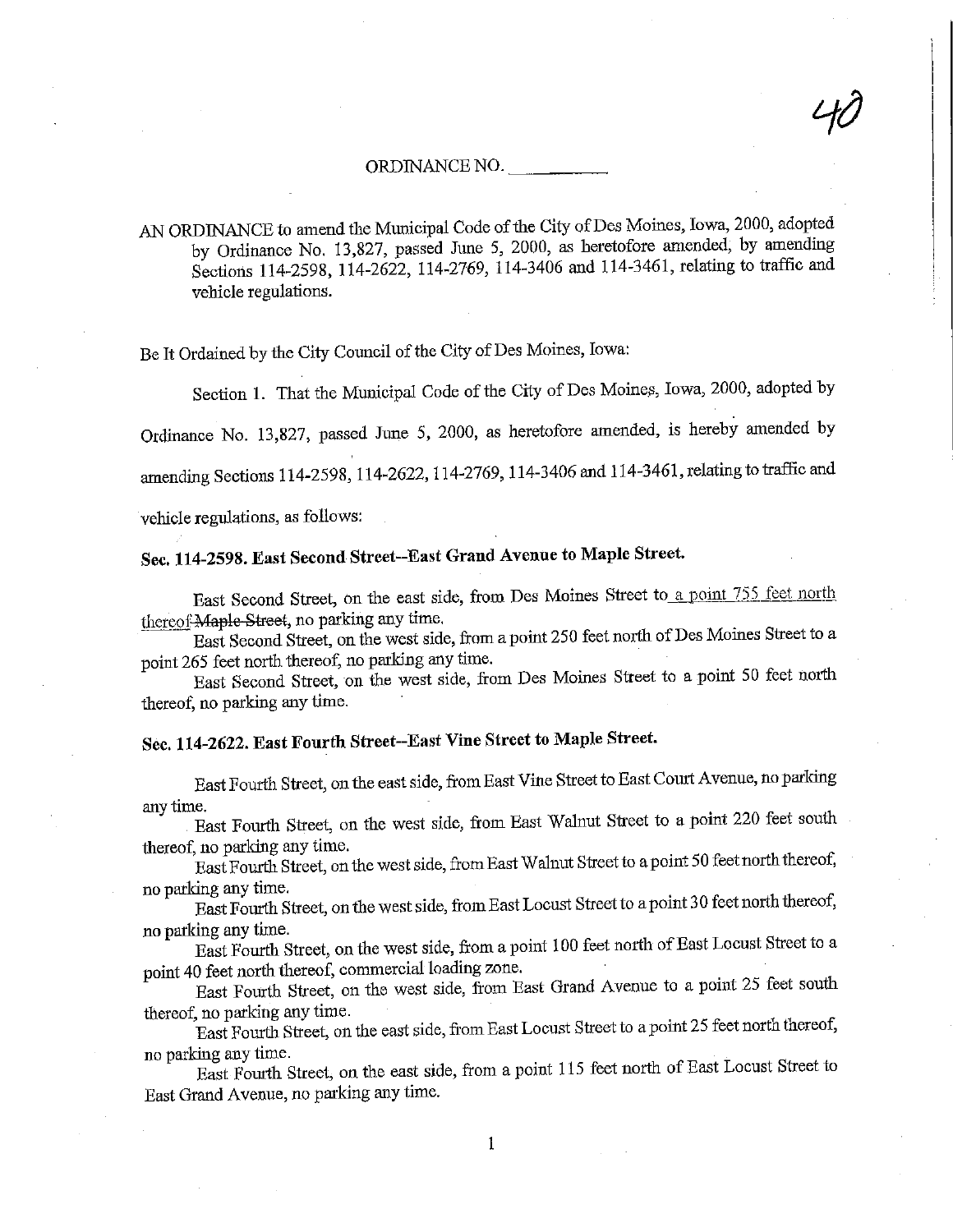#### ORDINANCE NO.

 $t\partial$ 

 $N$  ORDINANCE to amend the Municipal Code of the City of Des Moines, Icwa, 2000, adopted by Ordinance No.  $13,827$ , passed June 5, 2000, as heretofore amended, by anothermal Sections 114-2598, 114-2622, 114-2769, 114-3406 and 114-3461, relating to traffic and vehicle regulations.

Be It Ordained by the City Council of the City of Des Moines, Iowa:

Section 1. That the Municipal Code of the City of Des Moines, Iowa, 2000, adopted by

Ordmance No. 13,827, passed June 5, 2000, as heretofore amended, is hereby amended by

amending Sections 114-2598, 114-2622, 114-2769, 114-3406 and 114-3461, relating to traffic and

vehicle regulations, as follows:

## Sec. 114-2598. East Second Street--East Grand Avenue to Maple Street.

East Second Street, on the east side, from Des Moines Street to a point 755 feet north thereof Maple Street, no parking any time.

East Second Street, on the west side, from a point 250 feet north of Des Moines Street to a point 265 feet north thereof, no parking any time.

East Second Street, on the west side, from Des Moines Street to a point 50 feet north thereof, no parking any time.

## Sec. 114-2622. East Fourth Street-East Vine Street to Maple Street.

East Fourth Street, on fhe east side, from East Vine Street to East Court Avenue, no paridng any time.

East Fourth Street, on the west side, from East Walnut Street to a point 220 feet south thereof, no packing any time.

East Fourth Street, on the west side, from East Walnut Street to a point 50 feet north thereof, no parking any time.

East Fourth Street, on the west side, from East Locust Street to a point 3 0 feet north thereof, no parking any time.

East Fourih Street, on the west side, from a point 100 feet north of East Locust Street to a point 40 feet north thereof, commercial loading zone.

East Fourth Street, on the west side, from East Grand Avenue to a point 25 feet south thereof, no parking any time.

East Fourth Street, on the east side, from East Locust Street to a pomt 25 feet north thereof, no parking any time.

East Fourth Street, on. the east side, from a point 115 feet north of East Locust Street to East Grand Avenue, no parking any time.

1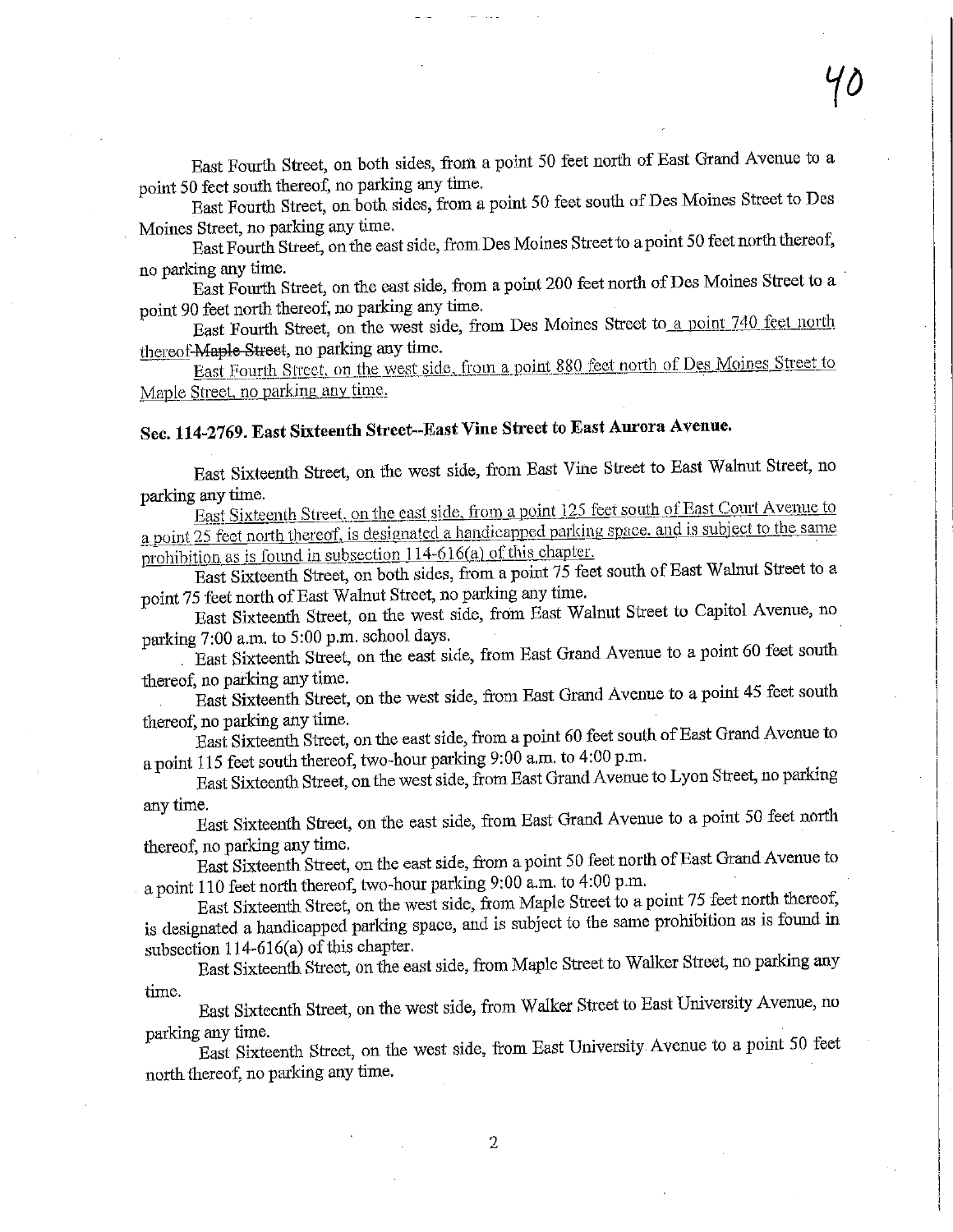East Fourth Street, on both sides, from a point 50 feet north of East Grand Avenue to a point 50 feet south thereof, no parking any time.  $p_{\text{init}}$  50 feet south thereof, no parking any time.

ast Fourth Street, on both sides, from a point 50 feet south of Des Montes Street to Des loines Street, no parking any time,

ast Fourth Street, on the east side, from Des Moines Street to a point 50 keep hour there is

o parking any time. ast Fourth Street, on the east side, from a point 200 feet norm of Des Moines Street to  $\theta$ point 90 feet north thereof, no parking any time,

East Fourth Street, on the west side, from Des Moines Street to a point 740 feet north thereof-Maple Street, no parking any time. East Fourth Street, on the west state, nome best from the month of Des Moines Street to

East Fourth Street, on the west side, from a point 880 feet north of Des Moines Street to  $\vert$  aple Street, no parking any time.

# Sec. 114-2769. East Sisteeuth Street-East Vine Street to East Aurora Avenue, i

ast Sixteenth Street, on the west side, from East Vine Street to East Wahild Street, no  $\sim$ East Sixteenth Street, on the west side, from East Vine Street to East Walnut Street, no<br>arking any time.<br>Fast Sixteenth Street, on the east side, from a point 125 feet south of East Court Avenue to

East Sixteenth Street, on the east side, from a point 125 feet south of East Court Avenue to a point 25 feet north thereof, is designated a handicapped parking space, and is subject to the same<br>prohibition as is found in subsection 114-616(a) of this chapter. prohibition as is found in subsection  $114-616(a)$  of this chapter.

East Sixteenth Street, on both sides, from a point 75 feet south of East Walnut Street to a point 75 feet north of East Walnut Street, no parking any time.

East Sixteenth Street, on the west side, from East Walnut Street to Capitol Avenue, no parking 7:00 a.m. to 5:00 p.m. school days. parkmg 7:00 a.m. to 5:00 p.m. school days,

. Bast Sixteenth Street, on the east side, from East Grand Avenue to a point 60 feet south thereof, no parking any time.

East Sixteentli Street, on the west side, from East Grand Avenue to a point 45 feet south thereof, no parking any time.

East Sixteenth Street, on the east side, from a point 60 feet south of East Grand Avenue to a point 115 feet south thereof, two-hour parking 9:00 a.m. to 4:00 p.m.

East Sixteenth Street, on the west side, from East Grand Avenue to Lyon Street, no parking any time.

East Sixteenth Street, on the east side, from East Grand Avenue to a point 50 feet north thereof, no parking any time,

East Sixteenth Street, on the east side, from a point 50 feet north of East Grand Avenue to

a point 110 feet north thereof, two-hour parking 9:00 a.m. to 4:00 p.m. East Sixteenth Street, on the west side, ftom Maple Street to a point  $\frac{1}{2}$  feet north there is  $\frac{1}{2}$ is designated a handicapped parking space, and is subject to the same prohibition as is found in subsection  $114-616(a)$  of this chapter.

East Sixteenth Street, on the east side, from Maple Street to Walker Street, no parking any time.

East Sixteenth Street, on the west side, from Walker Street to East University Avenue, no parking any time.

East Sixteenth Street, on the west side, irom East University, Avenue to a pomt 50 feet north thereof, no parking any time.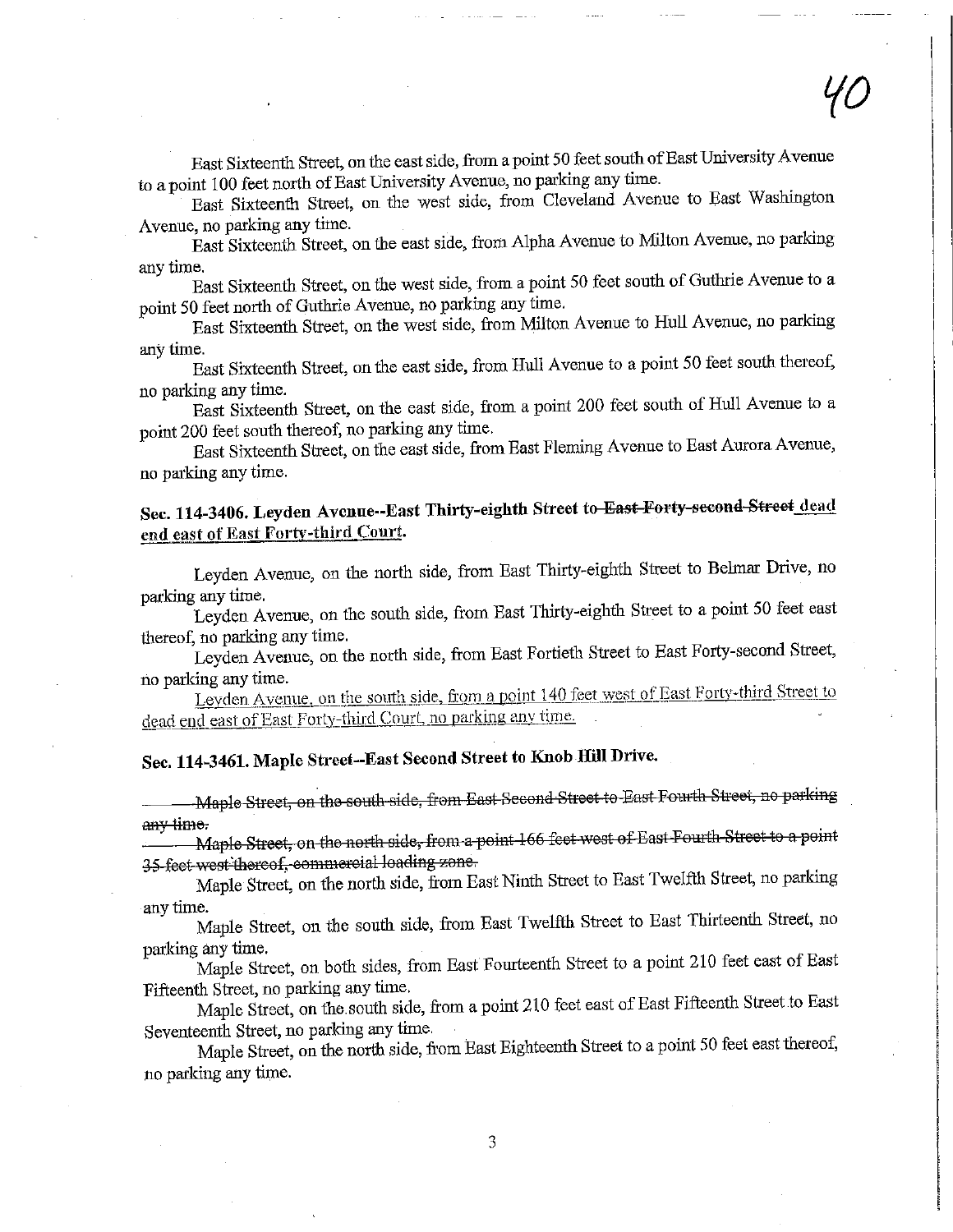East Sixteenth Street, on the east side, from a point 50 feet south of East University Avenue to a point 100 feet north of East University Avenue, no parking any time.

East Sixteenth Street, on the west side, from Cleveland Avenue to East Washington Avenue, no parking any time.

East Sixteenth Street, on the east side, ftom Alpha Avenue to Milton Avenue, no parking any time.

East Sixteenth Street, on the west side, from a point 50 feet south of Guthrie Avenue to a point 50 feet north of Gufhrie Avenue, no parking any time.

East Sixteenth Street, on the west side, from Milton Avenue to Hull Avenue, no parking any time.

East Sixteenth Street, on the east side, from Hull Avenue to a point 50 feet south thereof, no parking any time.

East Sixteenth Street, on the east side, from a point 200 feet south of Hull Avenue to a point 200 feet south thereof, no parking any time.

East Sixteenth Street, on the east side, from East Fleming Avenue to East Aurora Avenue, no parking any time.

### Sec. 114-3406. Leyden Avenue--East Thirty-eighth Street to East Forty second Street dead end east of East Forty-third Court.

Leyden Avenue, on the north side, from East Thirty-eighth Street to Belmar Drive, no parking any time.

Leyden Avenue, on the south side, from East Thirty-eighth Street to a point 50 feet east thereof, no parking any time.

Leyden Avenue, on the north side, from East Fortieth Street to East Forty-second Street, no parking any time.

Leyden Ayenue, on the south side, from a point 140 feet west of East Forty-third Street to dead end east of East Forty-third Court, no parking any time.

# Sec. 114-3461. Maple Street--East Second Street to Knob Hill Drive.

--Maple Street, on the south side, from East Second Street to East Fourth Street, no parking any time.

Maple Street, on the north side, from a point 166 feet west of East Fourth Street to a point 35 feet west thereof, commercial loading zone,

Maple Street, on the north side, from East Ninth Street to East Twelfth Street, no parking any time.

Maple Street, on the south side, from East Twelfth Street to East Thirteenth. Street, no parking any time.

Maple Street, on both sides, from East Fourteenth Street to a point 210 feet east of East Fifteenth Street, no parking any time.

Maple Street, on the south side, from a point 210 feet east of East Fifteenth Street to East Seventeenth Street, no parking any time.

Maple Street, on the north side, from East Eighteenth Street to a point 50 feet east thereof, no parking any time.